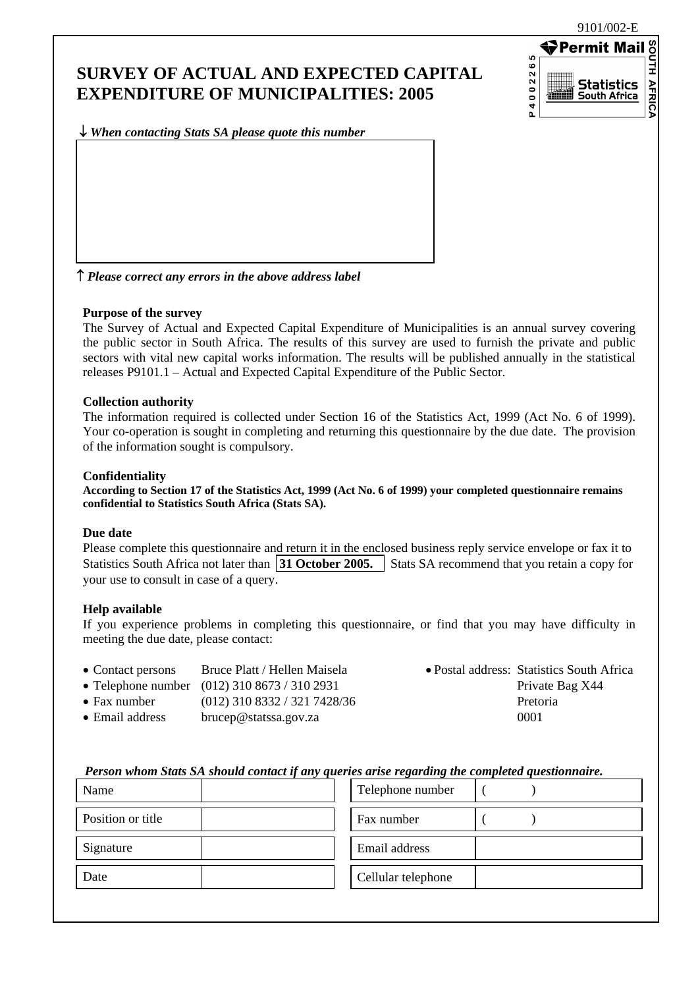9101/002-E

### **SURVEY OF ACTUAL AND EXPECTED CAPITAL EXPENDITURE OF MUNICIPALITIES: 2005**



↓ *When contacting Stats SA please quote this number*

↑ *Please correct any errors in the above address label*

#### **Purpose of the survey**

The Survey of Actual and Expected Capital Expenditure of Municipalities is an annual survey covering the public sector in South Africa. The results of this survey are used to furnish the private and public sectors with vital new capital works information. The results will be published annually in the statistical releases P9101.1 – Actual and Expected Capital Expenditure of the Public Sector.

#### **Collection authority**

The information required is collected under Section 16 of the Statistics Act, 1999 (Act No. 6 of 1999). Your co-operation is sought in completing and returning this questionnaire by the due date. The provision of the information sought is compulsory.

#### **Confidentiality**

**According to Section 17 of the Statistics Act, 1999 (Act No. 6 of 1999) your completed questionnaire remains confidential to Statistics South Africa (Stats SA).** 

#### **Due date**

Please complete this questionnaire and return it in the enclosed business reply service envelope or fax it to Statistics South Africa not later than **31 October 2005.** Stats SA recommend that you retain a copy for your use to consult in case of a query.

#### **Help available**

If you experience problems in completing this questionnaire, or find that you may have difficulty in meeting the due date, please contact:

| • Contact persons | Bruce Platt / Hellen Maisela |
|-------------------|------------------------------|
|-------------------|------------------------------|

- Telephone number  $(012)$  310 8673 / 310 2931 Private Bag X44
- Fax number (012) 310 8332 / 321 7428/36 Pretoria
- Email address bruce p@statssa.gov.za 0001

• Postal address: Statistics South Africa

#### *Person whom Stats SA should contact if any queries arise regarding the completed questionnaire.*

| Name              | Telephone number   |
|-------------------|--------------------|
| Position or title | Fax number         |
| Signature         | Email address      |
| Date              | Cellular telephone |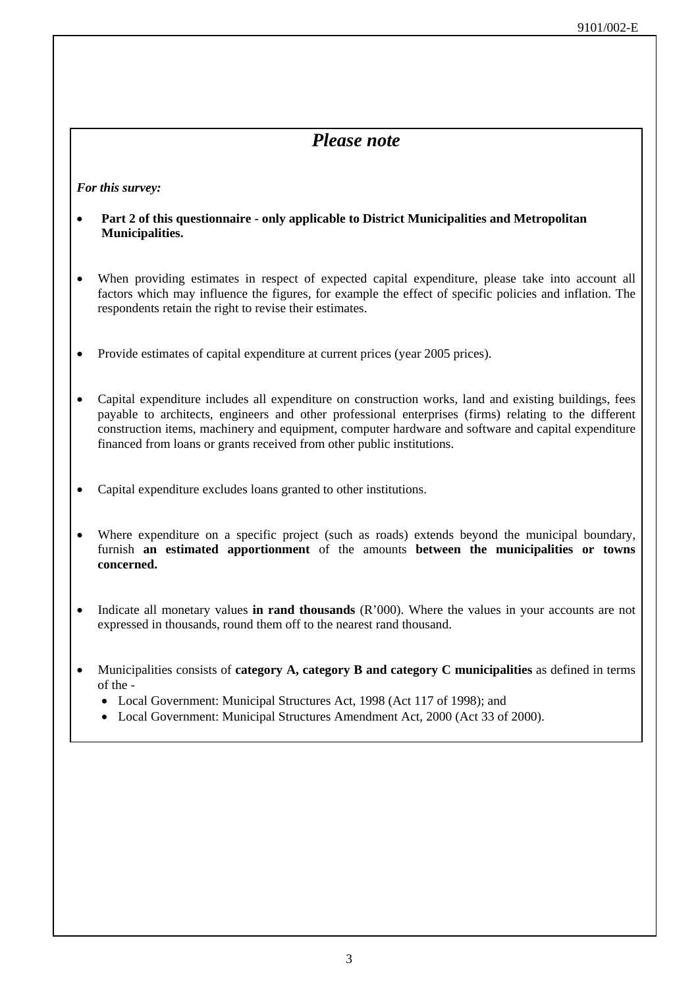### *Please note*

*For this survey:* 

- **Part 2 of this questionnaire only applicable to District Municipalities and Metropolitan Municipalities.**
- When providing estimates in respect of expected capital expenditure, please take into account all factors which may influence the figures, for example the effect of specific policies and inflation. The respondents retain the right to revise their estimates.
- Provide estimates of capital expenditure at current prices (year 2005 prices).
- Capital expenditure includes all expenditure on construction works, land and existing buildings, fees payable to architects, engineers and other professional enterprises (firms) relating to the different construction items, machinery and equipment, computer hardware and software and capital expenditure financed from loans or grants received from other public institutions.
- Capital expenditure excludes loans granted to other institutions.
- Where expenditure on a specific project (such as roads) extends beyond the municipal boundary, furnish **an estimated apportionment** of the amounts **between the municipalities or towns concerned.**
- Indicate all monetary values **in rand thousands** (R'000). Where the values in your accounts are not expressed in thousands, round them off to the nearest rand thousand.
- Municipalities consists of **category A, category B and category C municipalities** as defined in terms of the -
	- Local Government: Municipal Structures Act, 1998 (Act 117 of 1998); and
	- Local Government: Municipal Structures Amendment Act, 2000 (Act 33 of 2000).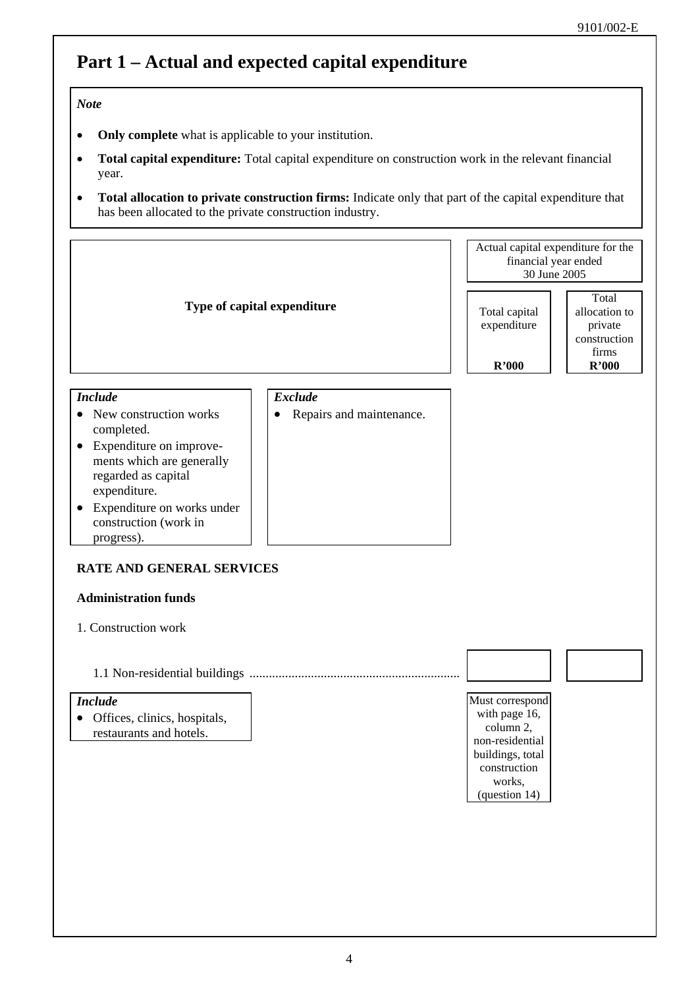# **Part 1 – Actual and expected capital expenditure**

### *Note*

- **Only complete** what is applicable to your institution.
- **Total capital expenditure:** Total capital expenditure on construction work in the relevant financial year.
- **Total allocation to private construction firms:** Indicate only that part of the capital expenditure that has been allocated to the private construction industry.

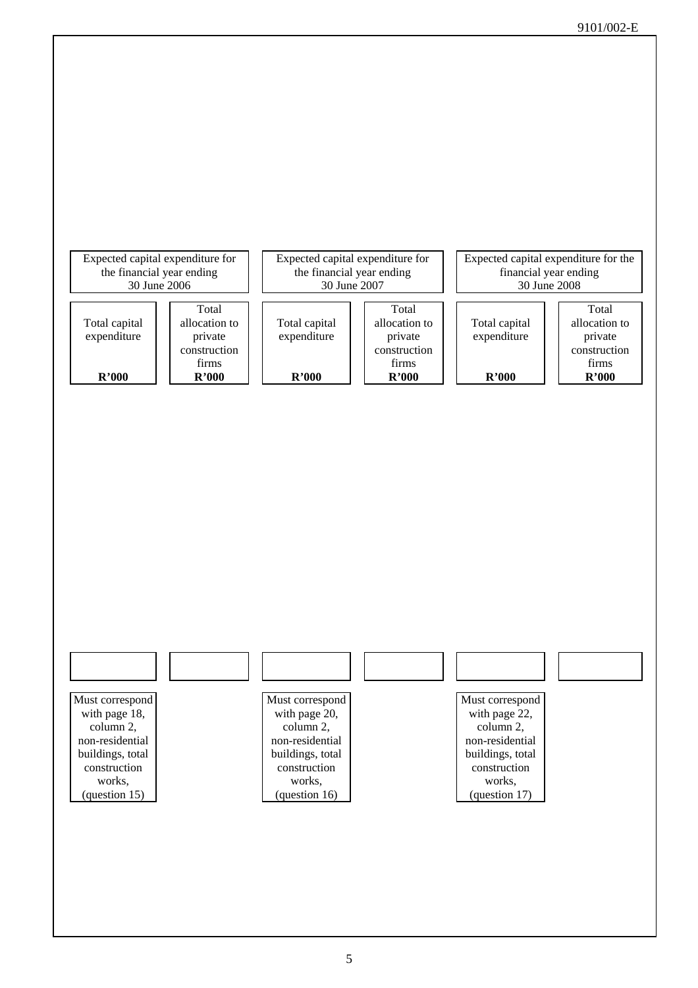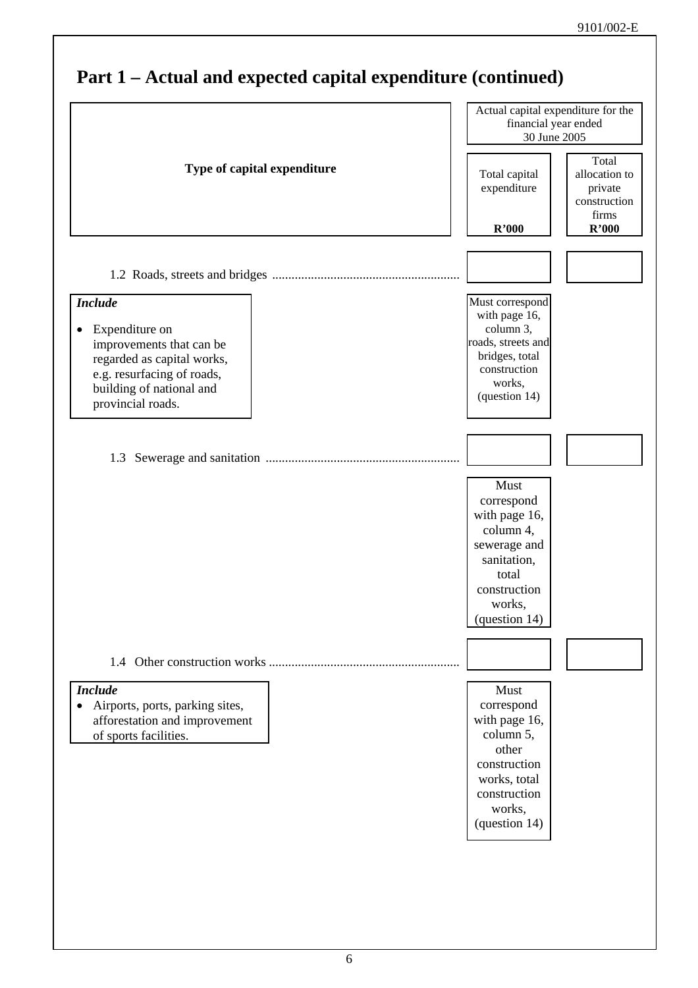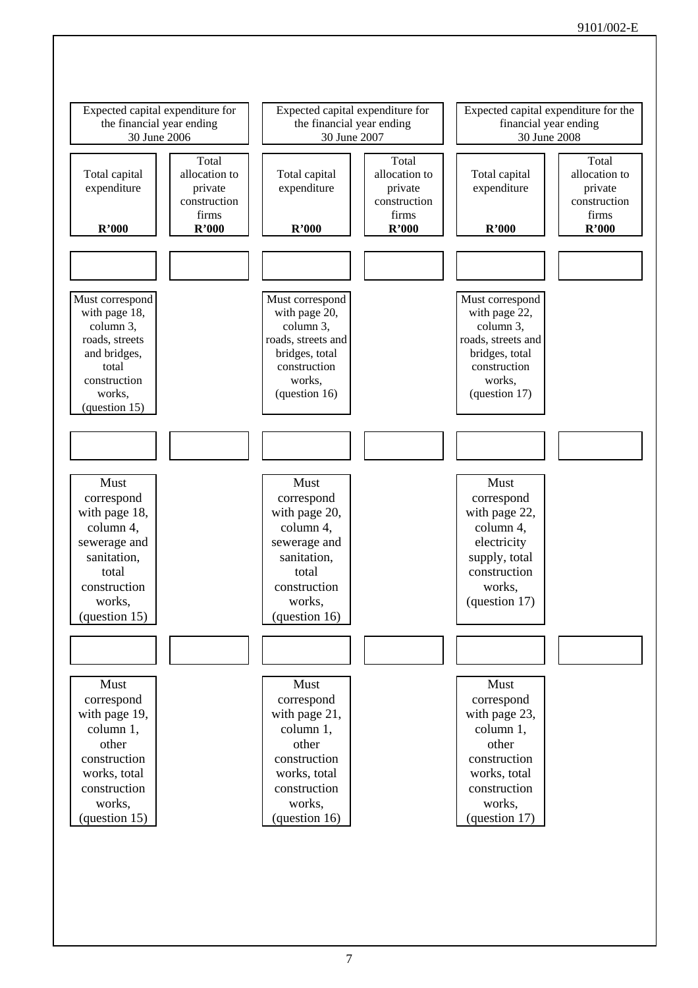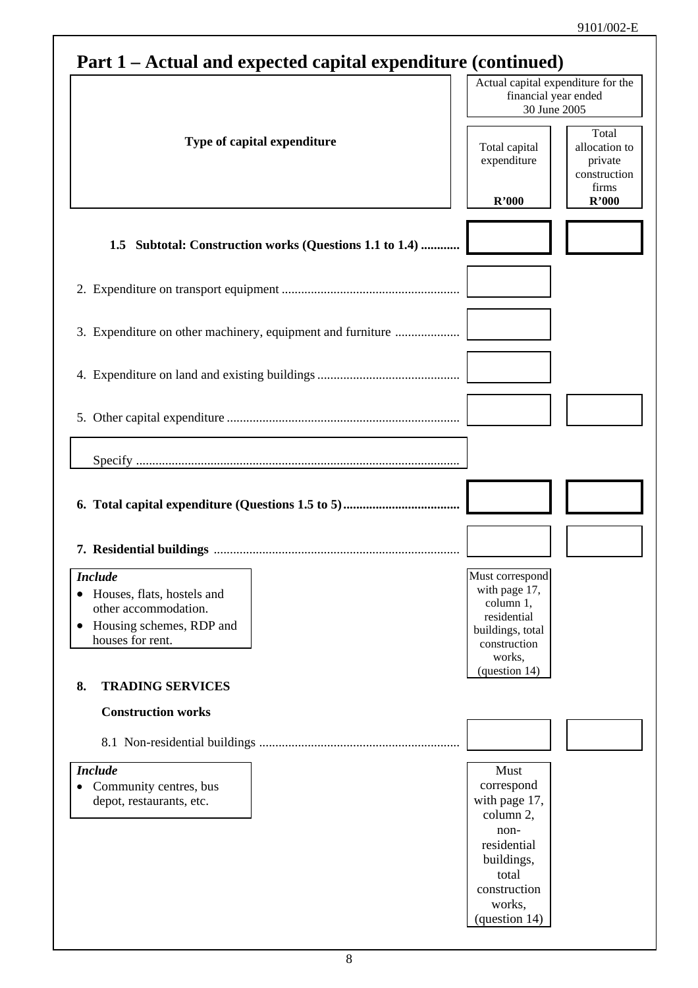| Part 1 – Actual and expected capital expenditure (continued) |  |  |
|--------------------------------------------------------------|--|--|
|                                                              |  |  |

| $\frac{1}{2}$ and $\frac{1}{2}$ and $\frac{1}{2}$ and $\frac{1}{2}$ and $\frac{1}{2}$ and $\frac{1}{2}$ and $\frac{1}{2}$ and $\frac{1}{2}$ and $\frac{1}{2}$ |                                                                                                            |                                                            |
|---------------------------------------------------------------------------------------------------------------------------------------------------------------|------------------------------------------------------------------------------------------------------------|------------------------------------------------------------|
|                                                                                                                                                               | Actual capital expenditure for the<br>financial year ended<br>30 June 2005                                 |                                                            |
| Type of capital expenditure                                                                                                                                   | Total capital<br>expenditure                                                                               | Total<br>allocation to<br>private<br>construction<br>firms |
|                                                                                                                                                               | R'000                                                                                                      | R'000                                                      |
| 1.5 Subtotal: Construction works (Questions 1.1 to 1.4)                                                                                                       |                                                                                                            |                                                            |
|                                                                                                                                                               |                                                                                                            |                                                            |
| 3. Expenditure on other machinery, equipment and furniture                                                                                                    |                                                                                                            |                                                            |
|                                                                                                                                                               |                                                                                                            |                                                            |
|                                                                                                                                                               |                                                                                                            |                                                            |
|                                                                                                                                                               |                                                                                                            |                                                            |
|                                                                                                                                                               |                                                                                                            |                                                            |
|                                                                                                                                                               |                                                                                                            |                                                            |
| <b>Include</b><br>Houses, flats, hostels and<br>other accommodation.<br>Housing schemes, RDP and<br>$\bullet$<br>houses for rent.                             | Must correspond<br>with page 17,<br>column 1,<br>residential<br>buildings, total<br>construction<br>works, |                                                            |
| <b>TRADING SERVICES</b><br>8.                                                                                                                                 | (question 14)                                                                                              |                                                            |
| <b>Construction works</b>                                                                                                                                     |                                                                                                            |                                                            |
|                                                                                                                                                               |                                                                                                            |                                                            |
| <b>Include</b>                                                                                                                                                | Must                                                                                                       |                                                            |
| Community centres, bus<br>$\bullet$<br>depot, restaurants, etc.                                                                                               | correspond<br>with page 17,<br>column 2,<br>non-                                                           |                                                            |
|                                                                                                                                                               | residential<br>buildings,<br>total                                                                         |                                                            |
|                                                                                                                                                               | construction<br>works,<br>(question 14)                                                                    |                                                            |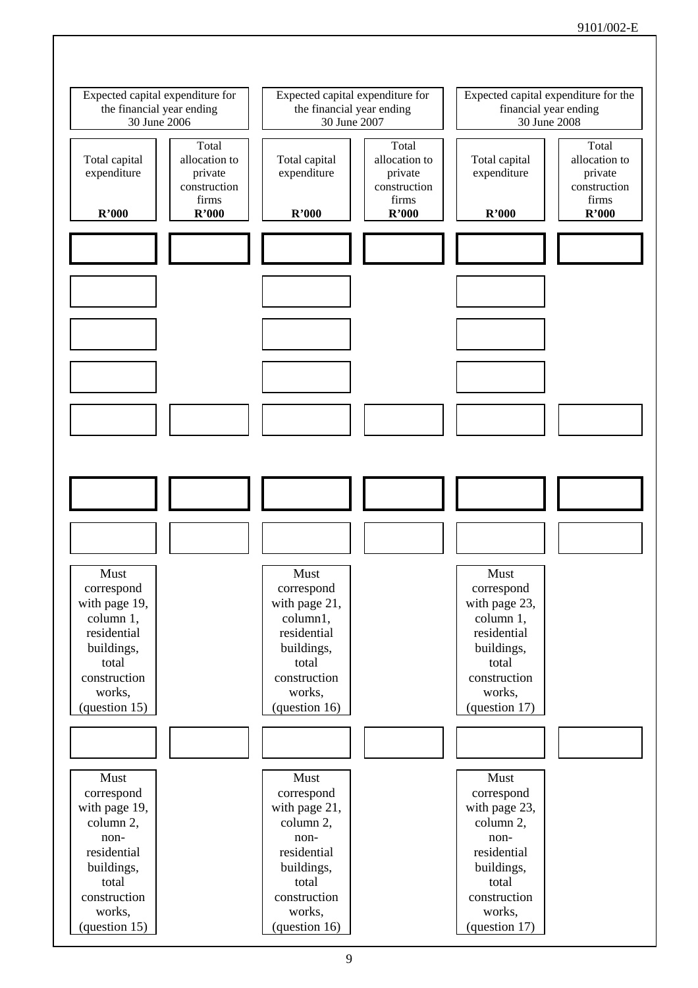### 9101/002-E

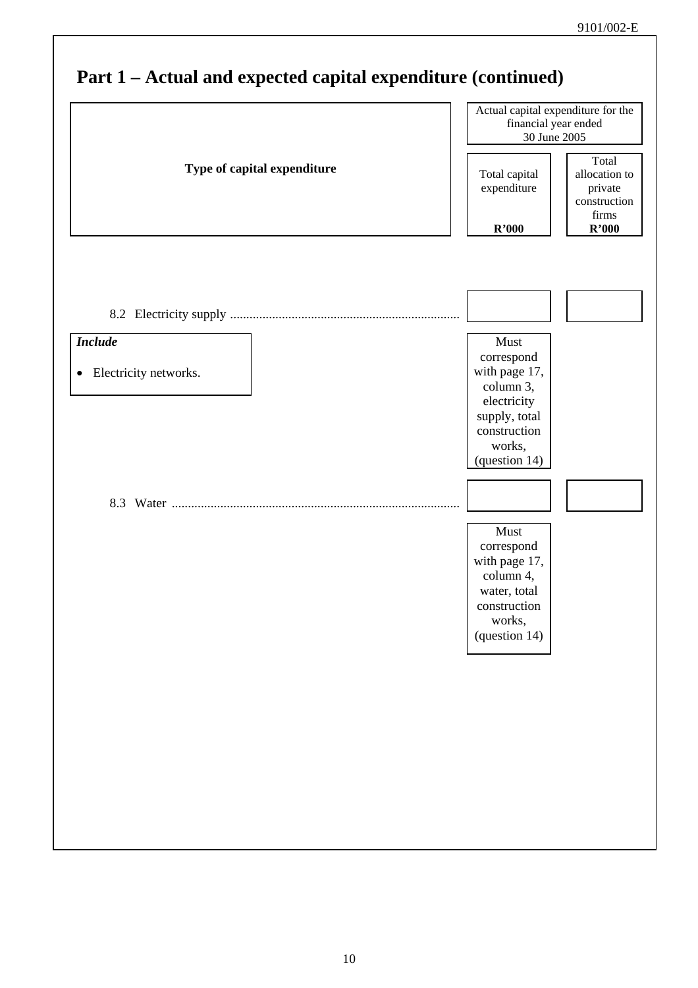|                                         | Actual capital expenditure for the<br>financial year ended<br>30 June 2005                                                  |                                                            |
|-----------------------------------------|-----------------------------------------------------------------------------------------------------------------------------|------------------------------------------------------------|
| Type of capital expenditure             | Total capital<br>expenditure                                                                                                | Total<br>allocation to<br>private<br>construction<br>firms |
|                                         | R'000                                                                                                                       | R'000                                                      |
|                                         |                                                                                                                             |                                                            |
| <b>Include</b><br>Electricity networks. | Must<br>correspond<br>with page 17,<br>column 3,<br>electricity<br>supply, total<br>construction<br>works,<br>(question 14) |                                                            |
|                                         |                                                                                                                             |                                                            |
|                                         | Must<br>correspond<br>with page 17,<br>column 4,<br>water, total<br>construction<br>works,<br>(question 14)                 |                                                            |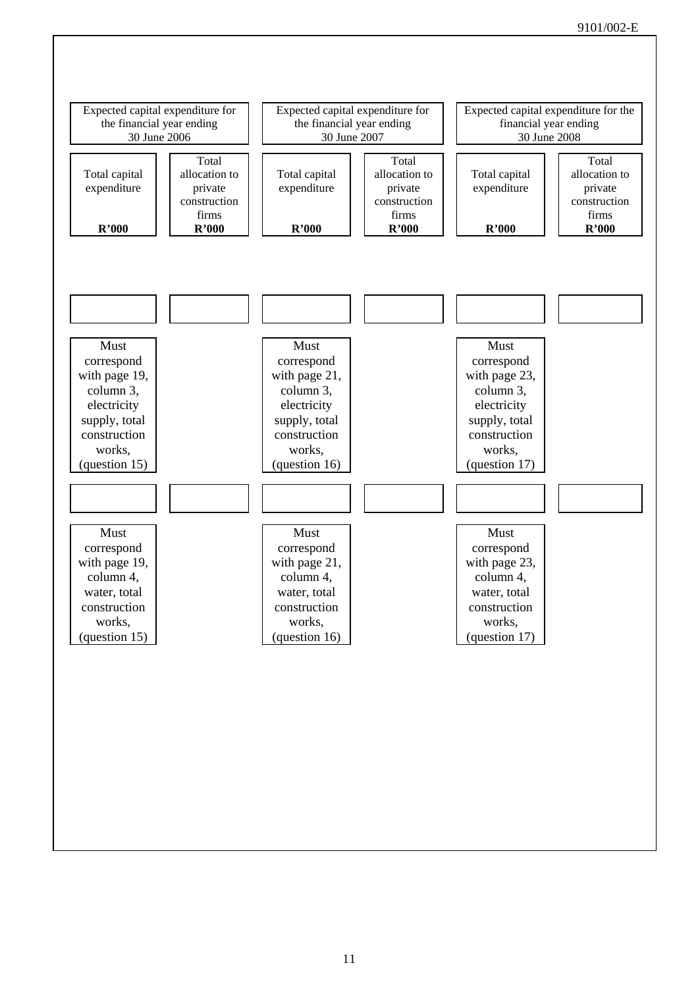### 9101/002-E

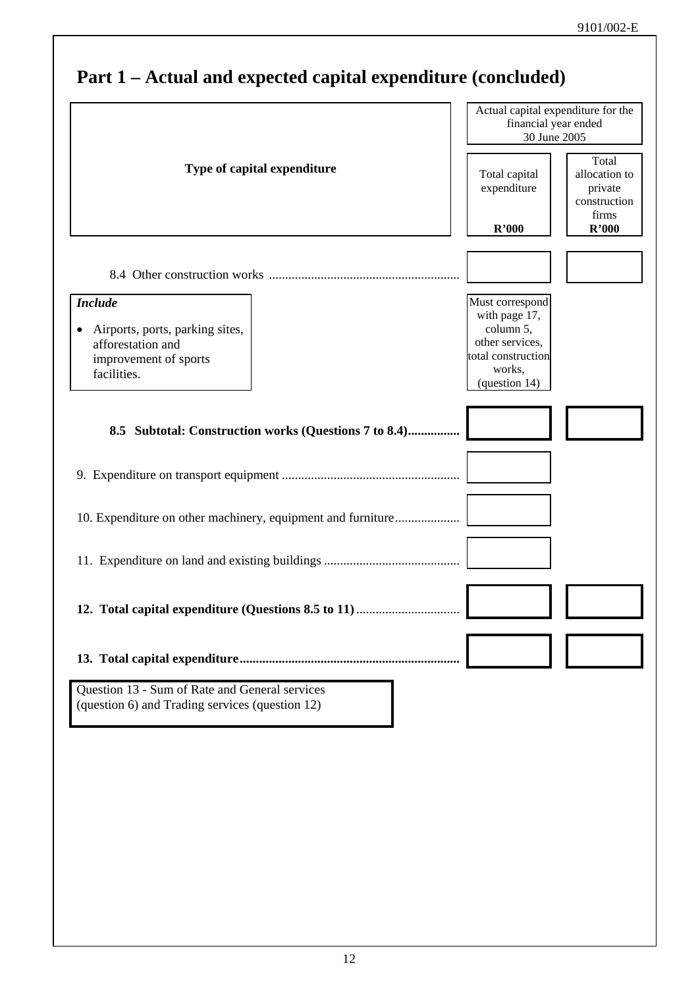| Type of capital expenditure<br><b>Include</b><br>Airports, ports, parking sites,<br>afforestation and<br>improvement of sports<br>facilities. | Total capital<br>expenditure<br>R'000<br>Must correspond<br>with page 17,<br>column 5,<br>other services,<br>total construction | Total<br>allocation to<br>private<br>construction<br>firms<br>R'000 |
|-----------------------------------------------------------------------------------------------------------------------------------------------|---------------------------------------------------------------------------------------------------------------------------------|---------------------------------------------------------------------|
|                                                                                                                                               |                                                                                                                                 |                                                                     |
|                                                                                                                                               |                                                                                                                                 |                                                                     |
|                                                                                                                                               |                                                                                                                                 |                                                                     |
|                                                                                                                                               |                                                                                                                                 |                                                                     |
|                                                                                                                                               |                                                                                                                                 |                                                                     |
|                                                                                                                                               |                                                                                                                                 |                                                                     |
|                                                                                                                                               |                                                                                                                                 |                                                                     |
|                                                                                                                                               | works,                                                                                                                          |                                                                     |
|                                                                                                                                               | (question 14)                                                                                                                   |                                                                     |
| 8.5 Subtotal: Construction works (Questions 7 to 8.4)                                                                                         |                                                                                                                                 |                                                                     |
| 10. Expenditure on other machinery, equipment and furniture                                                                                   |                                                                                                                                 |                                                                     |
|                                                                                                                                               |                                                                                                                                 |                                                                     |
|                                                                                                                                               |                                                                                                                                 |                                                                     |
|                                                                                                                                               |                                                                                                                                 |                                                                     |
| Question 13 - Sum of Rate and General services<br>(question 6) and Trading services (question 12)                                             |                                                                                                                                 |                                                                     |
|                                                                                                                                               |                                                                                                                                 |                                                                     |
|                                                                                                                                               |                                                                                                                                 |                                                                     |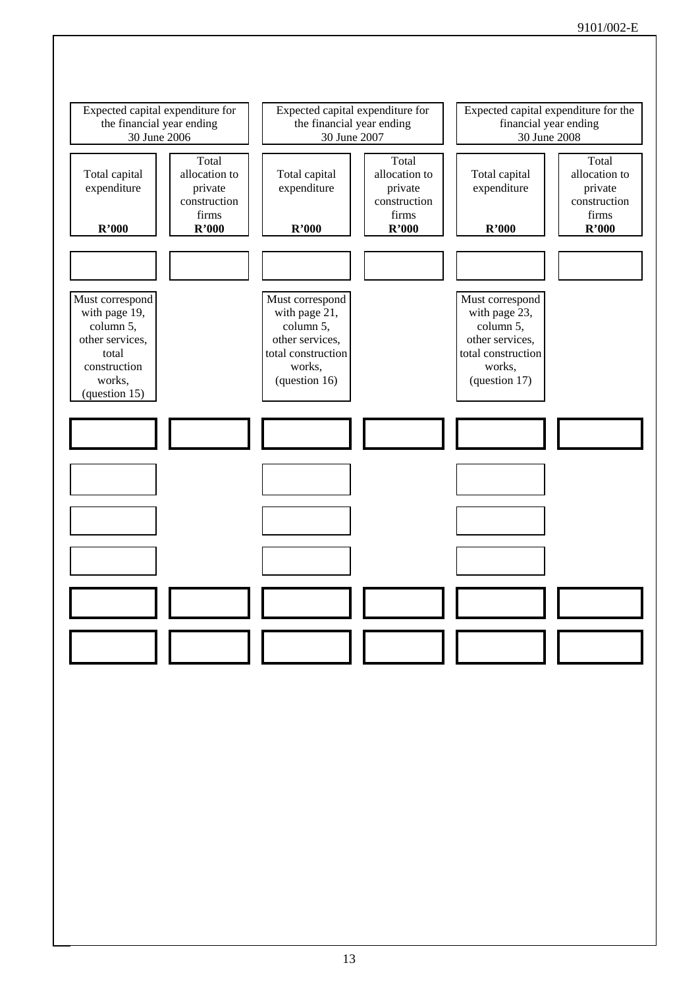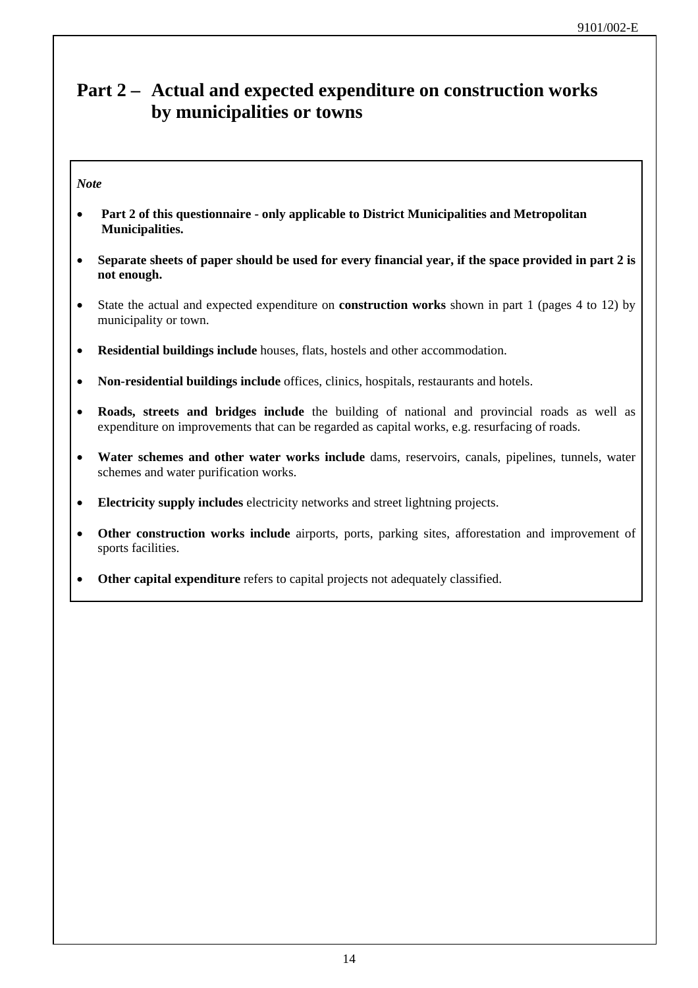### **Part 2 – Actual and expected expenditure on construction works by municipalities or towns**

### *Note*

- **Part 2 of this questionnaire only applicable to District Municipalities and Metropolitan Municipalities.**
- **Separate sheets of paper should be used for every financial year, if the space provided in part 2 is not enough.**
- State the actual and expected expenditure on **construction works** shown in part 1 (pages 4 to 12) by municipality or town.
- **Residential buildings include** houses, flats, hostels and other accommodation.
- **Non-residential buildings include** offices, clinics, hospitals, restaurants and hotels.
- **Roads, streets and bridges include** the building of national and provincial roads as well as expenditure on improvements that can be regarded as capital works, e.g. resurfacing of roads.
- **Water schemes and other water works include** dams, reservoirs, canals, pipelines, tunnels, water schemes and water purification works.
- **Electricity supply includes** electricity networks and street lightning projects.
- **Other construction works include** airports, ports, parking sites, afforestation and improvement of sports facilities.
- **Other capital expenditure** refers to capital projects not adequately classified.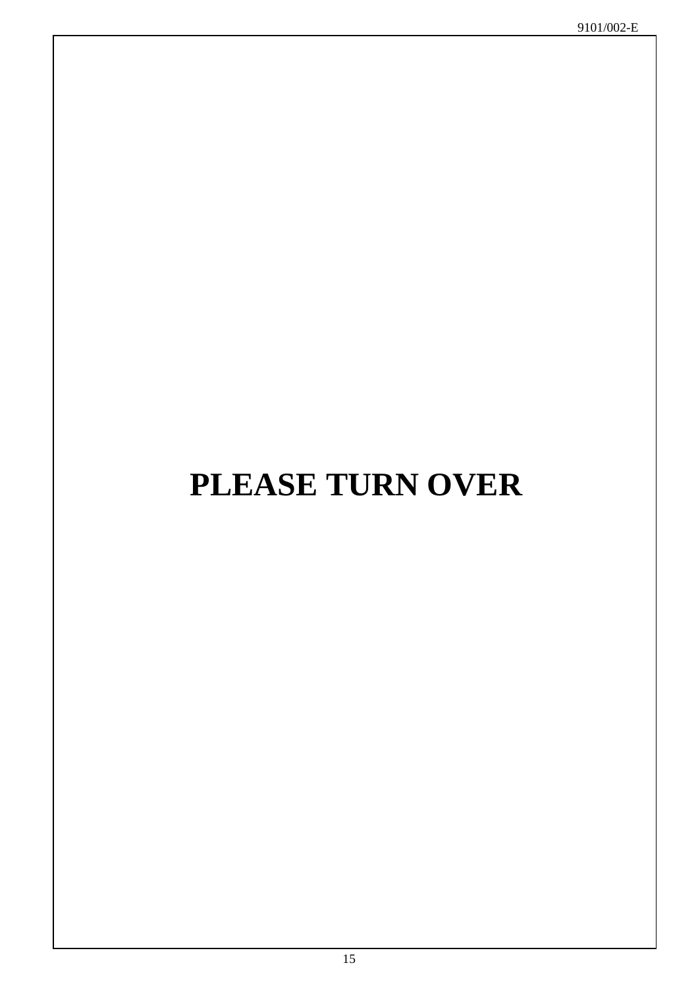# **PLEASE TURN OVER**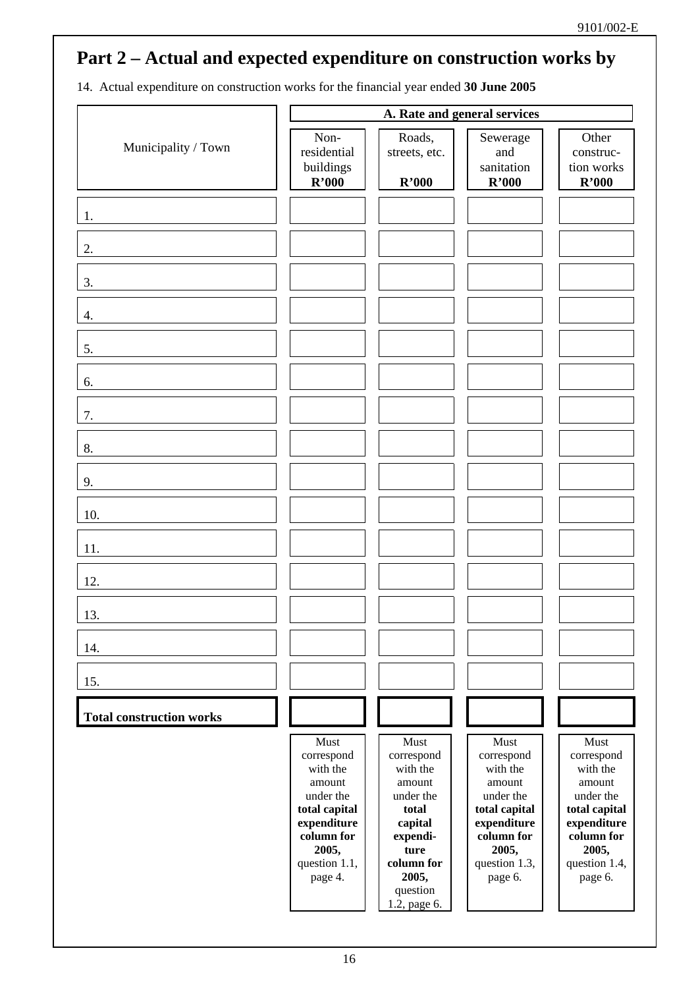14. Actual expenditure on construction works for the financial year ended **30 June 2005** 

|                                 |                                                                                                                                          |                                                                                                                                                  | A. Rate and general services                                                                                                             |                                                                                                                                          |
|---------------------------------|------------------------------------------------------------------------------------------------------------------------------------------|--------------------------------------------------------------------------------------------------------------------------------------------------|------------------------------------------------------------------------------------------------------------------------------------------|------------------------------------------------------------------------------------------------------------------------------------------|
| Municipality / Town             | Non-<br>residential<br>buildings<br>R'000                                                                                                | Roads,<br>streets, etc.<br>R'000                                                                                                                 | Sewerage<br>and<br>sanitation<br>R'000                                                                                                   | Other<br>construc-<br>tion works<br>R'000                                                                                                |
| 1.                              |                                                                                                                                          |                                                                                                                                                  |                                                                                                                                          |                                                                                                                                          |
| 2.                              |                                                                                                                                          |                                                                                                                                                  |                                                                                                                                          |                                                                                                                                          |
| 3.                              |                                                                                                                                          |                                                                                                                                                  |                                                                                                                                          |                                                                                                                                          |
| 4.                              |                                                                                                                                          |                                                                                                                                                  |                                                                                                                                          |                                                                                                                                          |
| 5.                              |                                                                                                                                          |                                                                                                                                                  |                                                                                                                                          |                                                                                                                                          |
| 6.                              |                                                                                                                                          |                                                                                                                                                  |                                                                                                                                          |                                                                                                                                          |
| 7.                              |                                                                                                                                          |                                                                                                                                                  |                                                                                                                                          |                                                                                                                                          |
| 8.                              |                                                                                                                                          |                                                                                                                                                  |                                                                                                                                          |                                                                                                                                          |
| 9.                              |                                                                                                                                          |                                                                                                                                                  |                                                                                                                                          |                                                                                                                                          |
| 10.                             |                                                                                                                                          |                                                                                                                                                  |                                                                                                                                          |                                                                                                                                          |
| 11.                             |                                                                                                                                          |                                                                                                                                                  |                                                                                                                                          |                                                                                                                                          |
| 12.                             |                                                                                                                                          |                                                                                                                                                  |                                                                                                                                          |                                                                                                                                          |
| 13.                             |                                                                                                                                          |                                                                                                                                                  |                                                                                                                                          |                                                                                                                                          |
| 14.                             |                                                                                                                                          |                                                                                                                                                  |                                                                                                                                          |                                                                                                                                          |
| 15.                             |                                                                                                                                          |                                                                                                                                                  |                                                                                                                                          |                                                                                                                                          |
| <b>Total construction works</b> |                                                                                                                                          |                                                                                                                                                  |                                                                                                                                          |                                                                                                                                          |
|                                 | Must<br>correspond<br>with the<br>amount<br>under the<br>total capital<br>expenditure<br>column for<br>2005,<br>question 1.1,<br>page 4. | Must<br>correspond<br>with the<br>amount<br>under the<br>total<br>capital<br>expendi-<br>ture<br>column for<br>2005,<br>question<br>1.2, page 6. | Must<br>correspond<br>with the<br>amount<br>under the<br>total capital<br>expenditure<br>column for<br>2005,<br>question 1.3,<br>page 6. | Must<br>correspond<br>with the<br>amount<br>under the<br>total capital<br>expenditure<br>column for<br>2005,<br>question 1.4,<br>page 6. |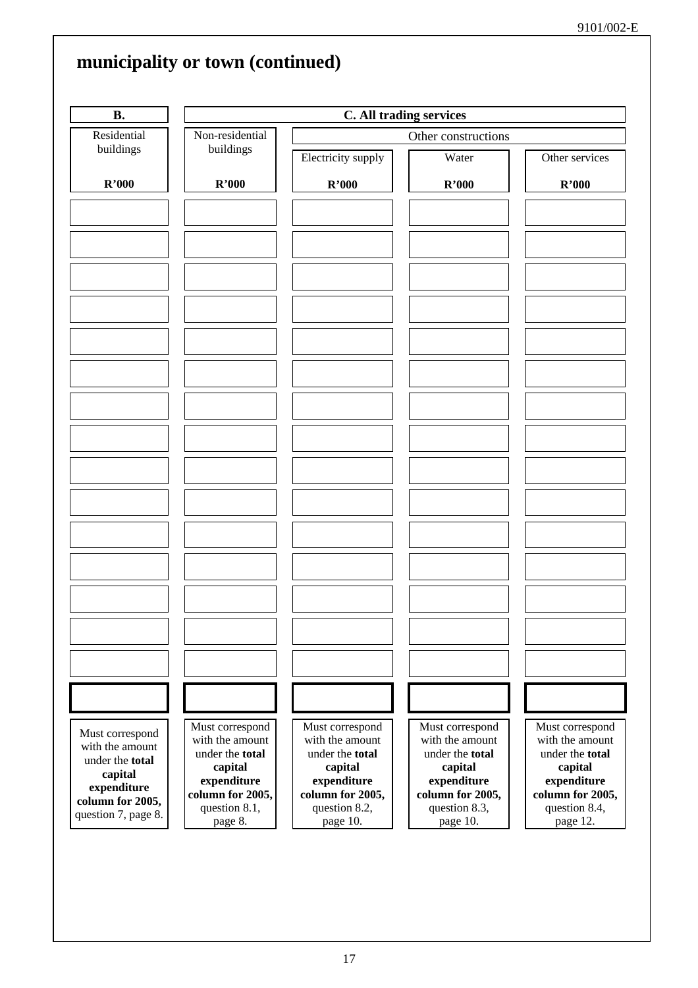| <b>B.</b>                                                                       |                                                                                 | C. All trading services                                                         |                                                                                 |                                                                                 |  |  |  |
|---------------------------------------------------------------------------------|---------------------------------------------------------------------------------|---------------------------------------------------------------------------------|---------------------------------------------------------------------------------|---------------------------------------------------------------------------------|--|--|--|
| Residential                                                                     | Non-residential                                                                 |                                                                                 | Other constructions                                                             |                                                                                 |  |  |  |
| buildings                                                                       | buildings                                                                       | Electricity supply                                                              | Water                                                                           | Other services                                                                  |  |  |  |
| R'000                                                                           | R'000                                                                           | R'000                                                                           | R'000                                                                           | R'000                                                                           |  |  |  |
|                                                                                 |                                                                                 |                                                                                 |                                                                                 |                                                                                 |  |  |  |
|                                                                                 |                                                                                 |                                                                                 |                                                                                 |                                                                                 |  |  |  |
|                                                                                 |                                                                                 |                                                                                 |                                                                                 |                                                                                 |  |  |  |
|                                                                                 |                                                                                 |                                                                                 |                                                                                 |                                                                                 |  |  |  |
|                                                                                 |                                                                                 |                                                                                 |                                                                                 |                                                                                 |  |  |  |
|                                                                                 |                                                                                 |                                                                                 |                                                                                 |                                                                                 |  |  |  |
|                                                                                 |                                                                                 |                                                                                 |                                                                                 |                                                                                 |  |  |  |
|                                                                                 |                                                                                 |                                                                                 |                                                                                 |                                                                                 |  |  |  |
|                                                                                 |                                                                                 |                                                                                 |                                                                                 |                                                                                 |  |  |  |
|                                                                                 |                                                                                 |                                                                                 |                                                                                 |                                                                                 |  |  |  |
|                                                                                 |                                                                                 |                                                                                 |                                                                                 |                                                                                 |  |  |  |
|                                                                                 |                                                                                 |                                                                                 |                                                                                 |                                                                                 |  |  |  |
| Must correspond<br>with the amount<br>under the total<br>capital<br>expenditure | Must correspond<br>with the amount<br>under the total<br>capital<br>expenditure | Must correspond<br>with the amount<br>under the total<br>capital<br>expenditure | Must correspond<br>with the amount<br>under the total<br>capital<br>expenditure | Must correspond<br>with the amount<br>under the total<br>capital<br>expenditure |  |  |  |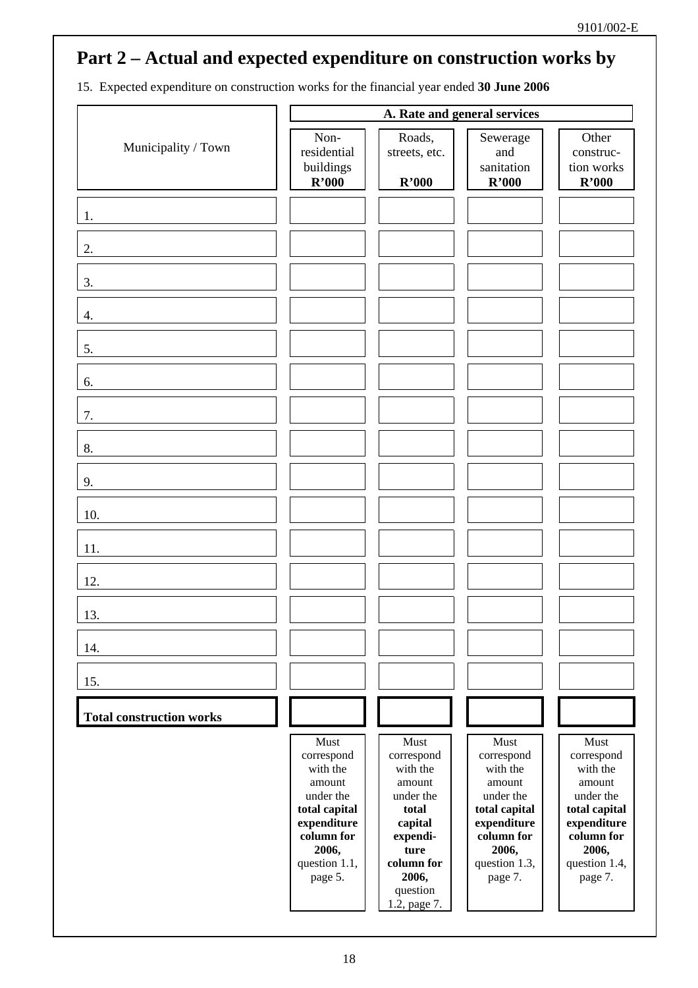15. Expected expenditure on construction works for the financial year ended **30 June 2006** 

|                                 |                                                                                                                                          |                                                                                                                                                  | A. Rate and general services                                                                                                             |                                                                                                                                          |
|---------------------------------|------------------------------------------------------------------------------------------------------------------------------------------|--------------------------------------------------------------------------------------------------------------------------------------------------|------------------------------------------------------------------------------------------------------------------------------------------|------------------------------------------------------------------------------------------------------------------------------------------|
| Municipality / Town             | Non-<br>residential<br>buildings<br>R'000                                                                                                | Roads,<br>streets, etc.<br>R'000                                                                                                                 | Sewerage<br>and<br>sanitation<br>R'000                                                                                                   | Other<br>construc-<br>tion works<br>R'000                                                                                                |
| 1.                              |                                                                                                                                          |                                                                                                                                                  |                                                                                                                                          |                                                                                                                                          |
| 2.                              |                                                                                                                                          |                                                                                                                                                  |                                                                                                                                          |                                                                                                                                          |
| 3.                              |                                                                                                                                          |                                                                                                                                                  |                                                                                                                                          |                                                                                                                                          |
| 4.                              |                                                                                                                                          |                                                                                                                                                  |                                                                                                                                          |                                                                                                                                          |
| 5.                              |                                                                                                                                          |                                                                                                                                                  |                                                                                                                                          |                                                                                                                                          |
| 6.                              |                                                                                                                                          |                                                                                                                                                  |                                                                                                                                          |                                                                                                                                          |
| 7.                              |                                                                                                                                          |                                                                                                                                                  |                                                                                                                                          |                                                                                                                                          |
| 8.                              |                                                                                                                                          |                                                                                                                                                  |                                                                                                                                          |                                                                                                                                          |
| 9.                              |                                                                                                                                          |                                                                                                                                                  |                                                                                                                                          |                                                                                                                                          |
| 10.                             |                                                                                                                                          |                                                                                                                                                  |                                                                                                                                          |                                                                                                                                          |
| 11.                             |                                                                                                                                          |                                                                                                                                                  |                                                                                                                                          |                                                                                                                                          |
| 12.                             |                                                                                                                                          |                                                                                                                                                  |                                                                                                                                          |                                                                                                                                          |
| 13.                             |                                                                                                                                          |                                                                                                                                                  |                                                                                                                                          |                                                                                                                                          |
| 14.                             |                                                                                                                                          |                                                                                                                                                  |                                                                                                                                          |                                                                                                                                          |
| 15.                             |                                                                                                                                          |                                                                                                                                                  |                                                                                                                                          |                                                                                                                                          |
| <b>Total construction works</b> |                                                                                                                                          |                                                                                                                                                  |                                                                                                                                          |                                                                                                                                          |
|                                 | Must<br>correspond<br>with the<br>amount<br>under the<br>total capital<br>expenditure<br>column for<br>2006,<br>question 1.1,<br>page 5. | Must<br>correspond<br>with the<br>amount<br>under the<br>total<br>capital<br>expendi-<br>ture<br>column for<br>2006,<br>question<br>1.2, page 7. | Must<br>correspond<br>with the<br>amount<br>under the<br>total capital<br>expenditure<br>column for<br>2006,<br>question 1.3,<br>page 7. | Must<br>correspond<br>with the<br>amount<br>under the<br>total capital<br>expenditure<br>column for<br>2006,<br>question 1.4,<br>page 7. |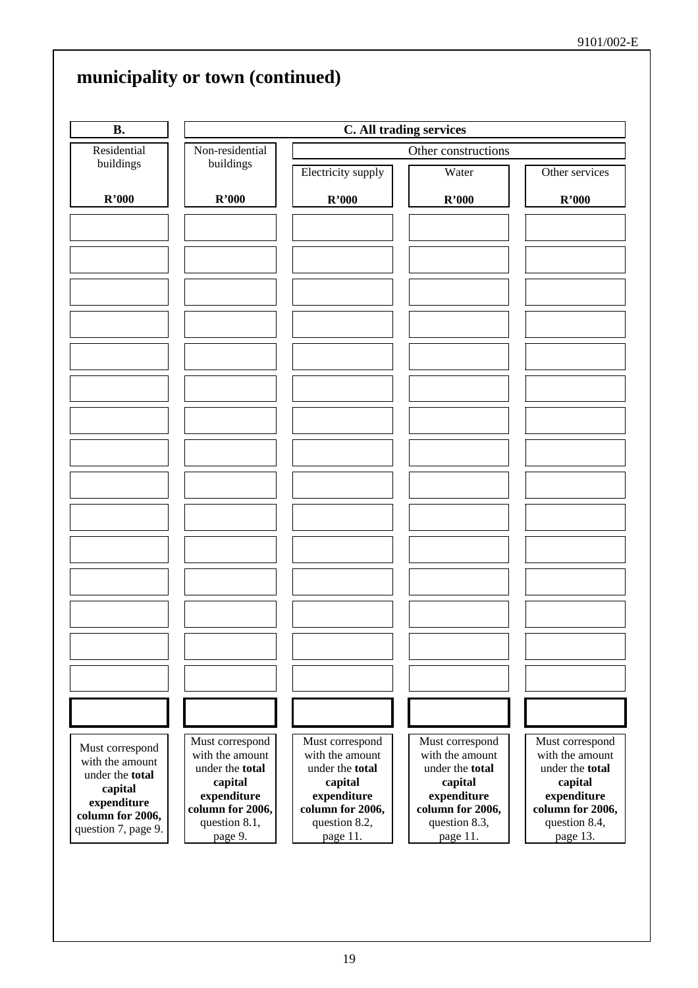|                                    | municipality or town (continued)   |                                    |                                    |                                    |  |  |  |
|------------------------------------|------------------------------------|------------------------------------|------------------------------------|------------------------------------|--|--|--|
| <b>B.</b>                          |                                    | C. All trading services            |                                    |                                    |  |  |  |
| Residential                        | Non-residential                    |                                    | Other constructions                |                                    |  |  |  |
| buildings                          | buildings                          | Electricity supply                 | Water                              | Other services                     |  |  |  |
| R'000                              | R'000                              | R'000                              | R'000                              | R'000                              |  |  |  |
|                                    |                                    |                                    |                                    |                                    |  |  |  |
|                                    |                                    |                                    |                                    |                                    |  |  |  |
|                                    |                                    |                                    |                                    |                                    |  |  |  |
|                                    |                                    |                                    |                                    |                                    |  |  |  |
|                                    |                                    |                                    |                                    |                                    |  |  |  |
|                                    |                                    |                                    |                                    |                                    |  |  |  |
|                                    |                                    |                                    |                                    |                                    |  |  |  |
|                                    |                                    |                                    |                                    |                                    |  |  |  |
|                                    |                                    |                                    |                                    |                                    |  |  |  |
|                                    |                                    |                                    |                                    |                                    |  |  |  |
|                                    |                                    |                                    |                                    |                                    |  |  |  |
|                                    |                                    |                                    |                                    |                                    |  |  |  |
|                                    |                                    |                                    |                                    |                                    |  |  |  |
|                                    |                                    |                                    |                                    |                                    |  |  |  |
|                                    |                                    |                                    |                                    |                                    |  |  |  |
|                                    |                                    |                                    |                                    |                                    |  |  |  |
|                                    |                                    |                                    |                                    |                                    |  |  |  |
|                                    |                                    |                                    |                                    |                                    |  |  |  |
|                                    |                                    |                                    |                                    |                                    |  |  |  |
|                                    |                                    |                                    |                                    |                                    |  |  |  |
|                                    |                                    |                                    |                                    |                                    |  |  |  |
|                                    |                                    |                                    |                                    |                                    |  |  |  |
| Must correspond                    | Must correspond<br>with the amount | Must correspond<br>with the amount | Must correspond<br>with the amount | Must correspond<br>with the amount |  |  |  |
| with the amount<br>under the total | under the total                    | under the total                    | under the total                    | under the total                    |  |  |  |
| capital                            | capital<br>expenditure             | capital<br>expenditure             | capital<br>expenditure             | capital<br>expenditure             |  |  |  |
| expenditure<br>column for 2006,    | column for 2006,                   | column for 2006,                   | column for 2006,                   | column for 2006,                   |  |  |  |
| question 7, page 9.                | question 8.1,<br>page 9.           | question 8.2,<br>page 11.          | question 8.3,<br>page 11.          | question 8.4,<br>page 13.          |  |  |  |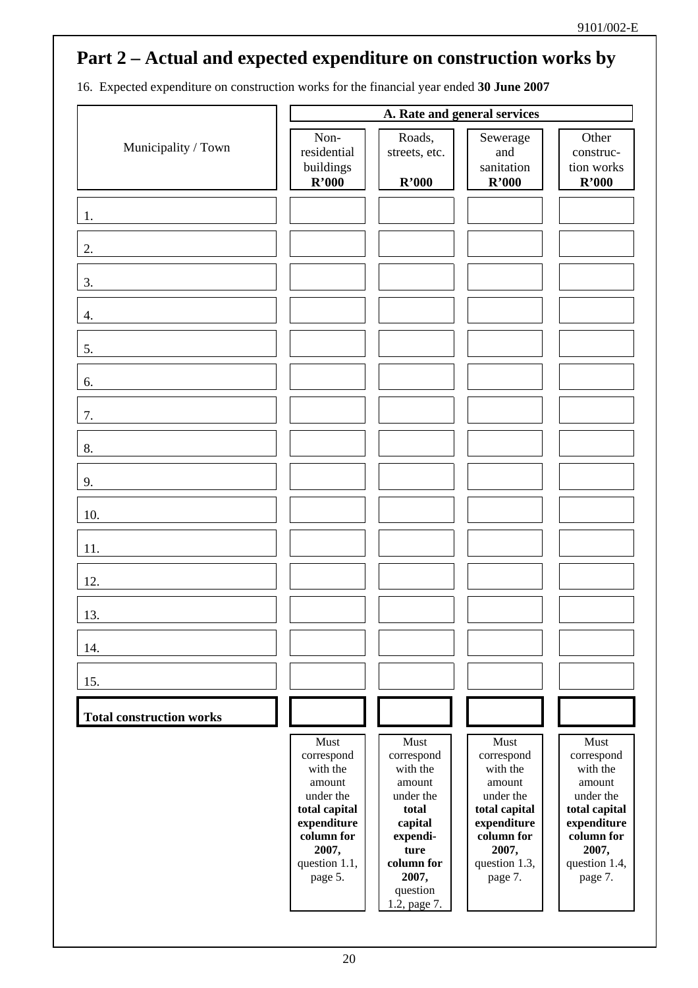16. Expected expenditure on construction works for the financial year ended **30 June 2007** 

|                                 |                                                                                                                                          |                                                                                                                                                  | A. Rate and general services                                                                                                             |                                                                                                                                          |
|---------------------------------|------------------------------------------------------------------------------------------------------------------------------------------|--------------------------------------------------------------------------------------------------------------------------------------------------|------------------------------------------------------------------------------------------------------------------------------------------|------------------------------------------------------------------------------------------------------------------------------------------|
| Municipality / Town             | Non-<br>residential<br>buildings<br>R'000                                                                                                | Roads,<br>streets, etc.<br>R'000                                                                                                                 | Sewerage<br>and<br>sanitation<br>R'000                                                                                                   | Other<br>construc-<br>tion works<br>R'000                                                                                                |
| 1.                              |                                                                                                                                          |                                                                                                                                                  |                                                                                                                                          |                                                                                                                                          |
| 2.                              |                                                                                                                                          |                                                                                                                                                  |                                                                                                                                          |                                                                                                                                          |
| 3.                              |                                                                                                                                          |                                                                                                                                                  |                                                                                                                                          |                                                                                                                                          |
| 4.                              |                                                                                                                                          |                                                                                                                                                  |                                                                                                                                          |                                                                                                                                          |
| 5.                              |                                                                                                                                          |                                                                                                                                                  |                                                                                                                                          |                                                                                                                                          |
| 6.                              |                                                                                                                                          |                                                                                                                                                  |                                                                                                                                          |                                                                                                                                          |
| 7.                              |                                                                                                                                          |                                                                                                                                                  |                                                                                                                                          |                                                                                                                                          |
| 8.                              |                                                                                                                                          |                                                                                                                                                  |                                                                                                                                          |                                                                                                                                          |
| 9.                              |                                                                                                                                          |                                                                                                                                                  |                                                                                                                                          |                                                                                                                                          |
| 10.                             |                                                                                                                                          |                                                                                                                                                  |                                                                                                                                          |                                                                                                                                          |
| 11.                             |                                                                                                                                          |                                                                                                                                                  |                                                                                                                                          |                                                                                                                                          |
| 12.                             |                                                                                                                                          |                                                                                                                                                  |                                                                                                                                          |                                                                                                                                          |
| 13.                             |                                                                                                                                          |                                                                                                                                                  |                                                                                                                                          |                                                                                                                                          |
| 14.                             |                                                                                                                                          |                                                                                                                                                  |                                                                                                                                          |                                                                                                                                          |
| 15.                             |                                                                                                                                          |                                                                                                                                                  |                                                                                                                                          |                                                                                                                                          |
| <b>Total construction works</b> |                                                                                                                                          |                                                                                                                                                  |                                                                                                                                          |                                                                                                                                          |
|                                 | Must<br>correspond<br>with the<br>amount<br>under the<br>total capital<br>expenditure<br>column for<br>2007,<br>question 1.1,<br>page 5. | Must<br>correspond<br>with the<br>amount<br>under the<br>total<br>capital<br>expendi-<br>ture<br>column for<br>2007,<br>question<br>1.2, page 7. | Must<br>correspond<br>with the<br>amount<br>under the<br>total capital<br>expenditure<br>column for<br>2007,<br>question 1.3,<br>page 7. | Must<br>correspond<br>with the<br>amount<br>under the<br>total capital<br>expenditure<br>column for<br>2007,<br>question 1.4,<br>page 7. |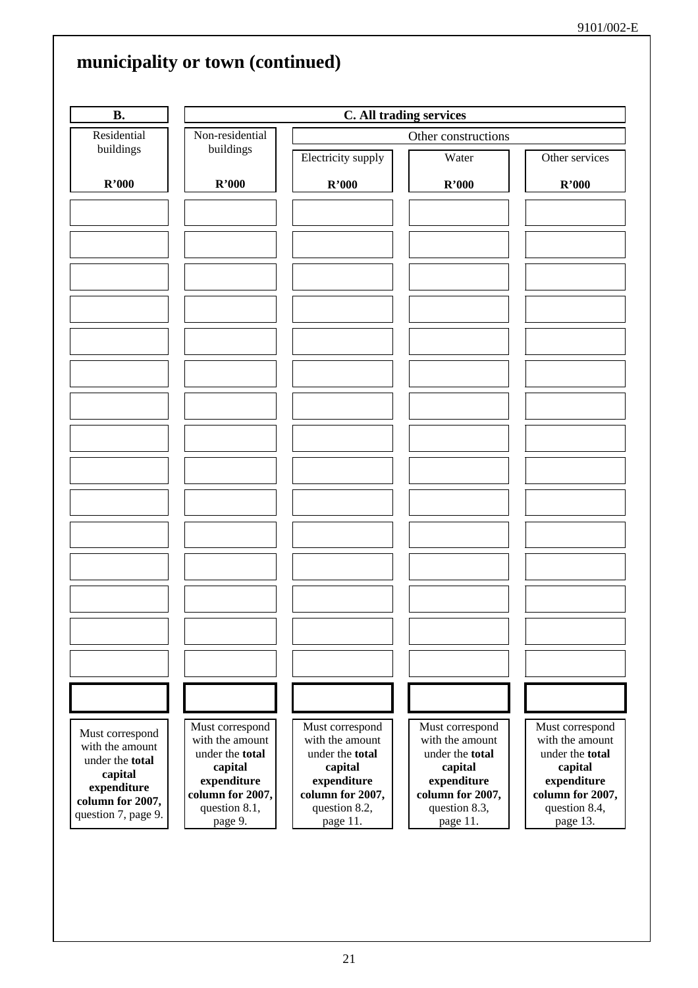| <b>B.</b>                                                        |                                                                                 | C. All trading services                                                         |                                                                                 |                                                                  |  |  |  |
|------------------------------------------------------------------|---------------------------------------------------------------------------------|---------------------------------------------------------------------------------|---------------------------------------------------------------------------------|------------------------------------------------------------------|--|--|--|
| Residential                                                      | Non-residential                                                                 |                                                                                 | Other constructions                                                             |                                                                  |  |  |  |
| buildings                                                        | buildings                                                                       | Electricity supply                                                              | Water                                                                           | Other services                                                   |  |  |  |
| R'000                                                            | R'000                                                                           | R'000                                                                           | R'000                                                                           | R'000                                                            |  |  |  |
|                                                                  |                                                                                 |                                                                                 |                                                                                 |                                                                  |  |  |  |
|                                                                  |                                                                                 |                                                                                 |                                                                                 |                                                                  |  |  |  |
|                                                                  |                                                                                 |                                                                                 |                                                                                 |                                                                  |  |  |  |
|                                                                  |                                                                                 |                                                                                 |                                                                                 |                                                                  |  |  |  |
|                                                                  |                                                                                 |                                                                                 |                                                                                 |                                                                  |  |  |  |
|                                                                  |                                                                                 |                                                                                 |                                                                                 |                                                                  |  |  |  |
|                                                                  |                                                                                 |                                                                                 |                                                                                 |                                                                  |  |  |  |
|                                                                  |                                                                                 |                                                                                 |                                                                                 |                                                                  |  |  |  |
|                                                                  |                                                                                 |                                                                                 |                                                                                 |                                                                  |  |  |  |
|                                                                  |                                                                                 |                                                                                 |                                                                                 |                                                                  |  |  |  |
|                                                                  |                                                                                 |                                                                                 |                                                                                 |                                                                  |  |  |  |
|                                                                  |                                                                                 |                                                                                 |                                                                                 |                                                                  |  |  |  |
| Must correspond<br>with the amount<br>under the total<br>capital | Must correspond<br>with the amount<br>under the total<br>capital<br>expenditure | Must correspond<br>with the amount<br>under the total<br>capital<br>expenditure | Must correspond<br>with the amount<br>under the total<br>capital<br>expenditure | Must correspond<br>with the amount<br>under the total<br>capital |  |  |  |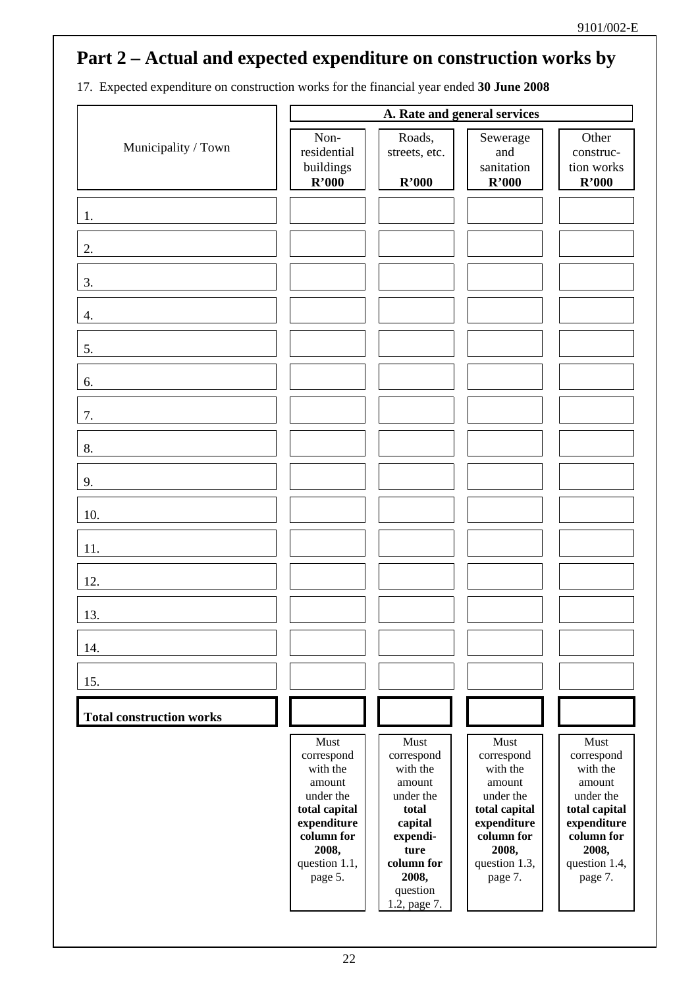17. Expected expenditure on construction works for the financial year ended **30 June 2008** 

|                                 | A. Rate and general services                                                                                                             |                                                                                                                                                  |                                                                                                                                          |                                                                                                                                          |
|---------------------------------|------------------------------------------------------------------------------------------------------------------------------------------|--------------------------------------------------------------------------------------------------------------------------------------------------|------------------------------------------------------------------------------------------------------------------------------------------|------------------------------------------------------------------------------------------------------------------------------------------|
| Municipality / Town             | Non-<br>residential<br>buildings<br>R'000                                                                                                | Roads,<br>streets, etc.<br>R'000                                                                                                                 | Sewerage<br>and<br>sanitation<br>R'000                                                                                                   | Other<br>construc-<br>tion works<br>R'000                                                                                                |
| 1.                              |                                                                                                                                          |                                                                                                                                                  |                                                                                                                                          |                                                                                                                                          |
| 2.                              |                                                                                                                                          |                                                                                                                                                  |                                                                                                                                          |                                                                                                                                          |
| 3.                              |                                                                                                                                          |                                                                                                                                                  |                                                                                                                                          |                                                                                                                                          |
| 4.                              |                                                                                                                                          |                                                                                                                                                  |                                                                                                                                          |                                                                                                                                          |
| 5.                              |                                                                                                                                          |                                                                                                                                                  |                                                                                                                                          |                                                                                                                                          |
| 6.                              |                                                                                                                                          |                                                                                                                                                  |                                                                                                                                          |                                                                                                                                          |
| 7.                              |                                                                                                                                          |                                                                                                                                                  |                                                                                                                                          |                                                                                                                                          |
| 8.                              |                                                                                                                                          |                                                                                                                                                  |                                                                                                                                          |                                                                                                                                          |
| 9.                              |                                                                                                                                          |                                                                                                                                                  |                                                                                                                                          |                                                                                                                                          |
| 10.                             |                                                                                                                                          |                                                                                                                                                  |                                                                                                                                          |                                                                                                                                          |
| 11.                             |                                                                                                                                          |                                                                                                                                                  |                                                                                                                                          |                                                                                                                                          |
| 12.                             |                                                                                                                                          |                                                                                                                                                  |                                                                                                                                          |                                                                                                                                          |
| 13.                             |                                                                                                                                          |                                                                                                                                                  |                                                                                                                                          |                                                                                                                                          |
| 14.                             |                                                                                                                                          |                                                                                                                                                  |                                                                                                                                          |                                                                                                                                          |
| 15.                             |                                                                                                                                          |                                                                                                                                                  |                                                                                                                                          |                                                                                                                                          |
| <b>Total construction works</b> |                                                                                                                                          |                                                                                                                                                  |                                                                                                                                          |                                                                                                                                          |
|                                 | Must<br>correspond<br>with the<br>amount<br>under the<br>total capital<br>expenditure<br>column for<br>2008,<br>question 1.1,<br>page 5. | Must<br>correspond<br>with the<br>amount<br>under the<br>total<br>capital<br>expendi-<br>ture<br>column for<br>2008,<br>question<br>1.2, page 7. | Must<br>correspond<br>with the<br>amount<br>under the<br>total capital<br>expenditure<br>column for<br>2008,<br>question 1.3,<br>page 7. | Must<br>correspond<br>with the<br>amount<br>under the<br>total capital<br>expenditure<br>column for<br>2008,<br>question 1.4,<br>page 7. |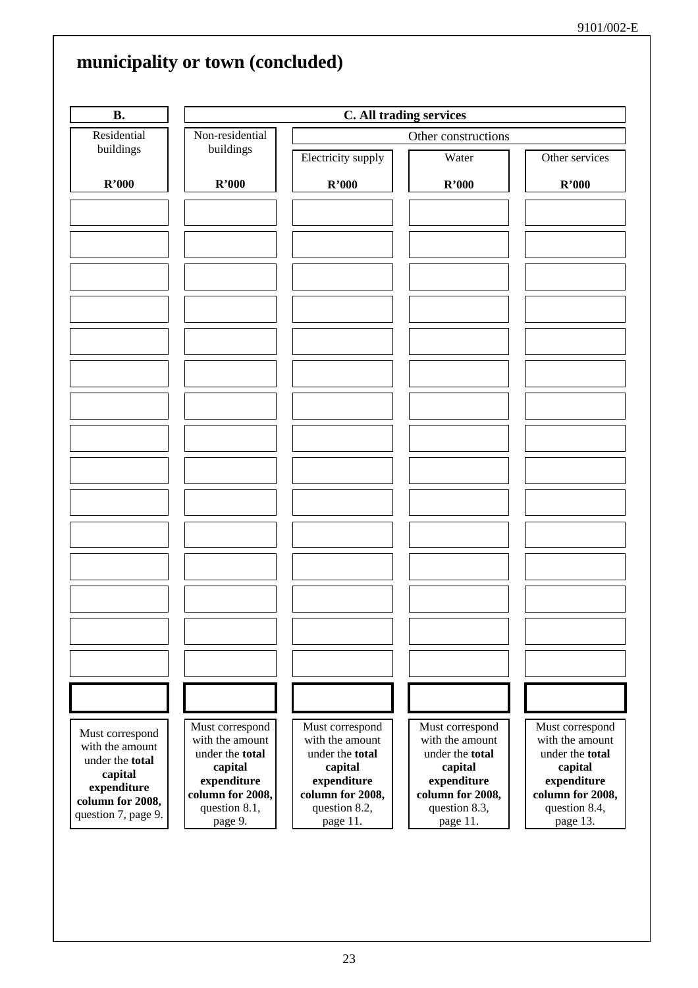| <b>B.</b>                                                        |                                                                  | C. All trading services                                          |                                                                  |                                                                  |  |
|------------------------------------------------------------------|------------------------------------------------------------------|------------------------------------------------------------------|------------------------------------------------------------------|------------------------------------------------------------------|--|
| Residential                                                      | Non-residential                                                  | Other constructions                                              |                                                                  |                                                                  |  |
| buildings                                                        | buildings                                                        | Electricity supply                                               | Water                                                            | Other services                                                   |  |
| R'000<br>R'000                                                   |                                                                  | R'000                                                            | R'000                                                            | R'000                                                            |  |
|                                                                  |                                                                  |                                                                  |                                                                  |                                                                  |  |
|                                                                  |                                                                  |                                                                  |                                                                  |                                                                  |  |
|                                                                  |                                                                  |                                                                  |                                                                  |                                                                  |  |
|                                                                  |                                                                  |                                                                  |                                                                  |                                                                  |  |
|                                                                  |                                                                  |                                                                  |                                                                  |                                                                  |  |
|                                                                  |                                                                  |                                                                  |                                                                  |                                                                  |  |
|                                                                  |                                                                  |                                                                  |                                                                  |                                                                  |  |
|                                                                  |                                                                  |                                                                  |                                                                  |                                                                  |  |
|                                                                  |                                                                  |                                                                  |                                                                  |                                                                  |  |
|                                                                  |                                                                  |                                                                  |                                                                  |                                                                  |  |
|                                                                  |                                                                  |                                                                  |                                                                  |                                                                  |  |
| Must correspond<br>with the amount<br>under the total<br>capital | Must correspond<br>with the amount<br>under the total<br>capital | Must correspond<br>with the amount<br>under the total<br>capital | Must correspond<br>with the amount<br>under the total<br>capital | Must correspond<br>with the amount<br>under the total<br>capital |  |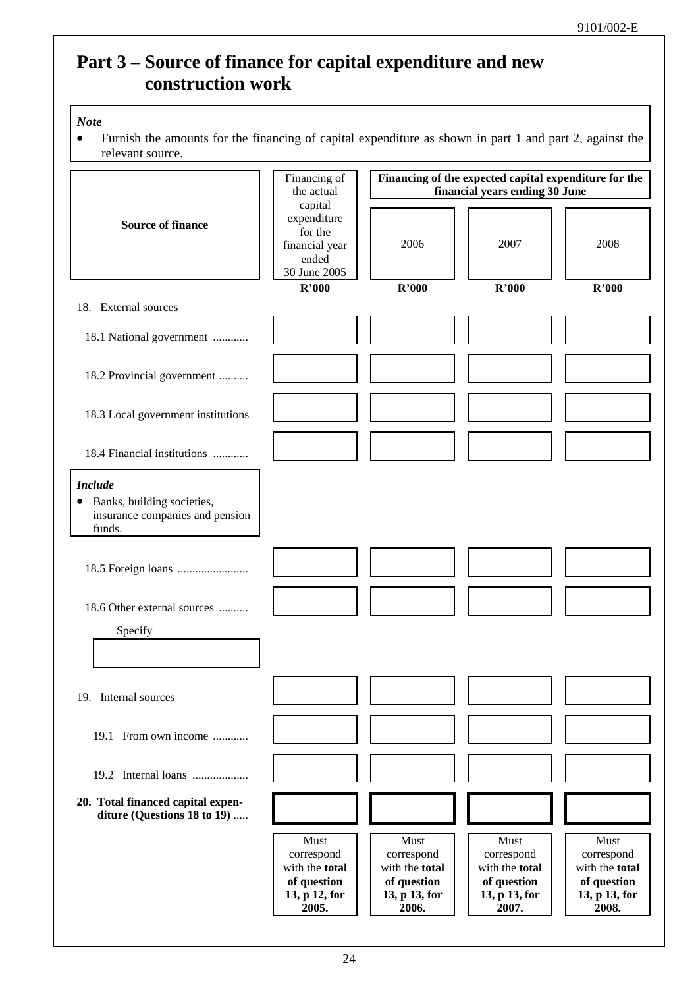## **Part 3 – Source of finance for capital expenditure and new construction work**

### *Note*

• Furnish the amounts for the financing of capital expenditure as shown in part 1 and part 2, against the relevant source.

| relevant source.                                                                                       |                                                                               |                                                                                         |                                                                               |                                                                               |  |
|--------------------------------------------------------------------------------------------------------|-------------------------------------------------------------------------------|-----------------------------------------------------------------------------------------|-------------------------------------------------------------------------------|-------------------------------------------------------------------------------|--|
|                                                                                                        | Financing of<br>the actual                                                    | Financing of the expected capital expenditure for the<br>financial years ending 30 June |                                                                               |                                                                               |  |
| <b>Source of finance</b>                                                                               | capital<br>expenditure<br>for the<br>financial year<br>ended<br>30 June 2005  | 2006                                                                                    | 2007                                                                          | 2008                                                                          |  |
| 18. External sources                                                                                   | R'000                                                                         | R'000                                                                                   | R'000                                                                         | R'000                                                                         |  |
| 18.1 National government                                                                               |                                                                               |                                                                                         |                                                                               |                                                                               |  |
| 18.2 Provincial government                                                                             |                                                                               |                                                                                         |                                                                               |                                                                               |  |
| 18.3 Local government institutions                                                                     |                                                                               |                                                                                         |                                                                               |                                                                               |  |
| 18.4 Financial institutions                                                                            |                                                                               |                                                                                         |                                                                               |                                                                               |  |
| <b>Include</b><br>Banks, building societies,<br>$\bullet$<br>insurance companies and pension<br>funds. |                                                                               |                                                                                         |                                                                               |                                                                               |  |
|                                                                                                        |                                                                               |                                                                                         |                                                                               |                                                                               |  |
| 18.6 Other external sources<br>Specify                                                                 |                                                                               |                                                                                         |                                                                               |                                                                               |  |
| 19. Internal sources                                                                                   |                                                                               |                                                                                         |                                                                               |                                                                               |  |
| 19.1 From own income                                                                                   |                                                                               |                                                                                         |                                                                               |                                                                               |  |
| 19.2 Internal loans                                                                                    |                                                                               |                                                                                         |                                                                               |                                                                               |  |
| 20. Total financed capital expen-<br>diture (Questions 18 to 19)                                       |                                                                               |                                                                                         |                                                                               |                                                                               |  |
|                                                                                                        | Must<br>correspond<br>with the total<br>of question<br>13, p 12, for<br>2005. | Must<br>correspond<br>with the total<br>of question<br>13, p 13, for<br>2006.           | Must<br>correspond<br>with the total<br>of question<br>13, p 13, for<br>2007. | Must<br>correspond<br>with the total<br>of question<br>13, p 13, for<br>2008. |  |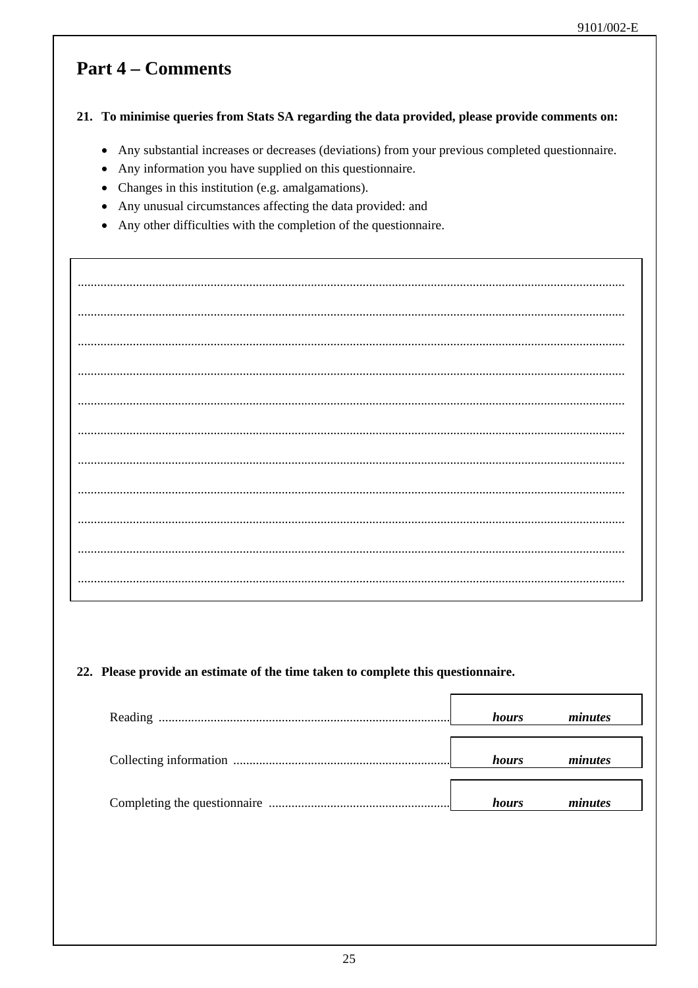### **Part 4 – Comments**

### 21. To minimise queries from Stats SA regarding the data provided, please provide comments on:

- Any substantial increases or decreases (deviations) from your previous completed questionnaire.
- Any information you have supplied on this questionnaire.
- Changes in this institution (e.g. amalgamations).
- Any unusual circumstances affecting the data provided: and  $\bullet$
- Any other difficulties with the completion of the questionnaire.

### 22. Please provide an estimate of the time taken to complete this questionnaire.

| hours | minutes |
|-------|---------|
| hours | minutes |
| hours | minutes |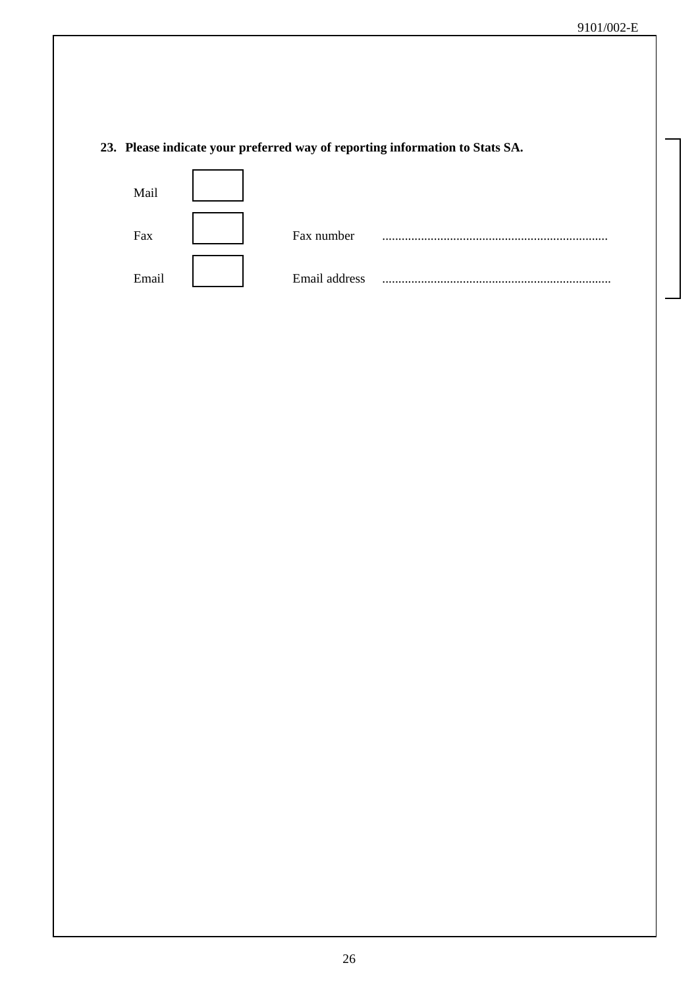### **23. Please indicate your preferred way of reporting information to Stats SA.**